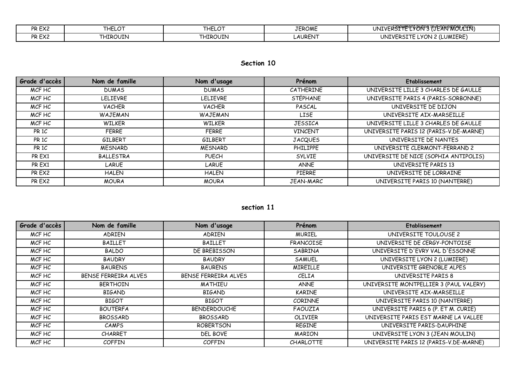| PR EX2 | $\sim$<br>'HELU | $\sim$<br>にレマ | <b>TEROME</b>  | EVONI'S (ELETANFINOEVLIN)<br>۱۳۵ ^ ۱<br>UNIVERST                             |
|--------|-----------------|---------------|----------------|------------------------------------------------------------------------------|
| PR EX2 | <b>HIROUIN</b>  | `HIROUIN      | <b>LAURENT</b> | (LUMIERE)<br>$\epsilon$ LYON 2 $^{\prime}$<br>UNI\<br>nc<br>$\sim$<br>$\sim$ |

## **Section 10**

| Grade d'accès    | Nom de famille   | Nom d'usage    | Prénom           | <b>Etablissement</b>                   |
|------------------|------------------|----------------|------------------|----------------------------------------|
| MCF HC           | <b>DUMAS</b>     | <b>DUMAS</b>   | <b>CATHERINE</b> | UNIVERSITE LILLE 3 CHARLES DE GAULLE   |
| MCF HC           | <b>LELIEVRE</b>  | LELIEVRE       | <b>STÉPHANE</b>  | UNIVERSITE PARIS 4 (PARIS-SORBONNE)    |
| MCF HC           | <b>VACHER</b>    | <b>VACHER</b>  | PASCAL           | UNIVERSITE DE DIJON                    |
| MCF HC           | WAJEMAN          | WAJEMAN        | LISE             | UNIVERSITE AIX-MARSEILLE               |
| MCF HC           | <b>WILKER</b>    | <b>WILKER</b>  | <b>JESSICA</b>   | UNIVERSITE LILLE 3 CHARLES DE GAULLE   |
| PR <sub>1C</sub> | <b>FERRE</b>     | <b>FERRE</b>   | <b>VINCENT</b>   | UNIVERSITE PARIS 12 (PARIS-V.DE-MARNE) |
| PR <sub>1C</sub> | GILBERT          | GILBERT        | <b>JACQUES</b>   | UNIVERSITE DE NANTES                   |
| PR 1C            | <b>MESNARD</b>   | <b>MESNARD</b> | PHILIPPE         | UNIVERSITE CLERMONT-FERRAND 2          |
| PR EX1           | <b>BALLESTRA</b> | <b>PUECH</b>   | <b>SYLVIE</b>    | UNIVERSITE DE NICE (SOPHIA ANTIPOLIS)  |
| PR EX1           | LARUE            | LARUE          | <b>ANNE</b>      | UNIVERSITE PARIS 13                    |
| PR EX2           | <b>HALEN</b>     | <b>HALEN</b>   | <b>PIERRE</b>    | UNIVERSITE DE LORRAINE                 |
| PR EX2           | <b>MOURA</b>     | <b>MOURA</b>   | JEAN-MARC        | UNIVERSITE PARIS 10 (NANTERRE)         |

## **section 11**

| Grade d'accès | Nom de famille       | Nom d'usage          | Prénom           | Etablissement                          |
|---------------|----------------------|----------------------|------------------|----------------------------------------|
| MCF HC        | <b>ADRIEN</b>        | <b>ADRIEN</b>        | <b>MURIEL</b>    | UNIVERSITE TOULOUSE 2                  |
| MCF HC        | <b>BAILLET</b>       | <b>BAILLET</b>       | <b>FRANCOISE</b> | UNIVERSITE DE CERGY-PONTOISE           |
| MCF HC        | <b>BALDO</b>         | DE BREBISSON         | SABRINA          | UNIVERSITE D'EVRY VAL D'ESSONNE        |
| MCF HC        | <b>BAUDRY</b>        | <b>BAUDRY</b>        | SAMUEL           | UNIVERSITE LYON 2 (LUMIERE)            |
| MCF HC        | <b>BAURENS</b>       | <b>BAURENS</b>       | <b>MIREILLE</b>  | UNIVERSITE GRENOBLE ALPES              |
| MCF HC        | BENSE FERREIRA ALVES | BENSE FERREIRA ALVES | CELIA            | UNIVERSITE PARIS 8                     |
| MCF HC        | <b>BERTHOIN</b>      | <b>MATHIEU</b>       | <b>ANNE</b>      | UNIVERSITE MONTPELLIER 3 (PAUL VALERY) |
| MCF HC        | <b>BIGAND</b>        | <b>BIGAND</b>        | <b>KARINE</b>    | UNIVERSITE AIX-MARSEILLE               |
| MCF HC        | <b>BIGOT</b>         | <b>BIGOT</b>         | <b>CORINNE</b>   | UNIVERSITE PARIS 10 (NANTERRE)         |
| MCF HC        | <b>BOUTERFA</b>      | <b>BENDERDOUCHE</b>  | FAOUZIA          | UNIVERSITE PARIS 6 (P. ET M. CURIE)    |
| MCF HC        | <b>BROSSARD</b>      | <b>BROSSARD</b>      | OLIVIER          | UNIVERSITE PARIS EST MARNE LA VALLEE   |
| MCF HC        | <b>CAMPS</b>         | <b>ROBERTSON</b>     | <b>REGINE</b>    | UNIVERSITE PARIS-DAUPHINE              |
| MCF HC        | <b>CHARRET</b>       | DEL BOVE             | <b>MARION</b>    | UNIVERSITE LYON 3 (JEAN MOULIN)        |
| MCF HC        | <b>COFFIN</b>        | <b>COFFIN</b>        | <b>CHARLOTTE</b> | UNIVERSITE PARIS 12 (PARIS-V.DE-MARNE) |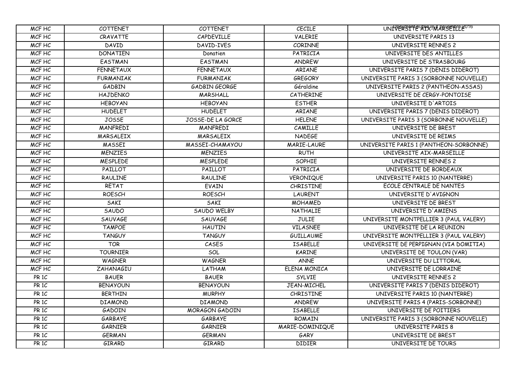| MCF HC           | <b>COTTENET</b>  | <b>COTTENET</b>      | <b>CECILE</b>      | UNIVERSITE AIRSETTEE UT6               |
|------------------|------------------|----------------------|--------------------|----------------------------------------|
| MCF HC           | CRAVATTE         | CAPDEVILLE           | <b>VALERIE</b>     | UNIVERSITE PARIS 13                    |
| MCF HC           | DAVID            | DAVID-IVES           | CORINNE            | UNIVERSITE RENNES 2                    |
| MCF HC           | <b>DONATIEN</b>  | Donatien             | PATRICIA           | UNIVERSITE DES ANTILLES                |
| MCF HC           | <b>EASTMAN</b>   | <b>EASTMAN</b>       | ANDREW             | UNIVERSITE DE STRASBOURG               |
| MCF HC           | <b>FENNETAUX</b> | <b>FENNETAUX</b>     | ARIANE             | UNIVERSITE PARIS 7 (DENIS DIDEROT)     |
| MCF HC           | <b>FURMANIAK</b> | <b>FURMANIAK</b>     | <b>GREGORY</b>     | UNIVERSITE PARIS 3 (SORBONNE NOUVELLE) |
| MCF HC           | GADBIN           | <b>GADBIN GEORGE</b> | Géraldine          | UNIVERSITE PARIS 2 (PANTHEON-ASSAS)    |
| MCF HC           | <b>HAJDENKO</b>  | MARSHALL             | CATHERINE          | UNIVERSITE DE CERGY-PONTOISE           |
| MCF HC           | <b>HEBOYAN</b>   | <b>HEBOYAN</b>       | <b>ESTHER</b>      | UNIVERSITE D'ARTOIS                    |
| MCF HC           | <b>HUDELET</b>   | <b>HUDELET</b>       | ARIANE             | UNIVERSITE PARIS 7 (DENIS DIDEROT)     |
| MCF HC           | <b>JOSSE</b>     | JOSSE-DE LA GORCE    | <b>HELENE</b>      | UNIVERSITE PARIS 3 (SORBONNE NOUVELLE) |
| MCF HC           | MANFREDI         | MANFREDI             | CAMILLE            | UNIVERSITE DE BREST                    |
| MCF HC           | <b>MARSALEIX</b> | MARSALEIX            | <b>NADEGE</b>      | UNIVERSITE DE REIMS                    |
| MCF HC           | <b>MASSEI</b>    | MASSEI-CHAMAYOU      | <b>MARIE-LAURE</b> | UNIVERSITE PARIS 1 (PANTHEON-SORBONNE) |
| MCF HC           | <b>MENZIES</b>   | <b>MENZIES</b>       | <b>RUTH</b>        | UNIVERSITE AIX-MARSEILLE               |
| MCF HC           | <b>MESPLEDE</b>  | <b>MESPLEDE</b>      | <b>SOPHIE</b>      | UNIVERSITE RENNES 2                    |
| MCF HC           | PAILLOT          | PAILLOT              | PATRICIA           | UNIVERSITE DE BORDEAUX                 |
| MCF HC           | RAULINE          | <b>RAULINE</b>       | VERONIQUE          | UNIVERSITE PARIS 10 (NANTERRE)         |
| MCF HC           | RETAT            | <b>EVAIN</b>         | <b>CHRISTINE</b>   | ECOLE CENTRALE DE NANTES               |
| MCF HC           | <b>ROESCH</b>    | <b>ROESCH</b>        | <b>LAURENT</b>     | UNIVERSITE D'AVIGNON                   |
| MCF HC           | SAKI             | SAKI                 | <b>MOHAMED</b>     | UNIVERSITE DE BREST                    |
| MCF HC           | SAUDO            | SAUDO WELBY          | NATHALIE           | UNIVERSITE D'AMIENS                    |
| MCF HC           | <b>SAUVAGE</b>   | <b>SAUVAGE</b>       | <b>JULIE</b>       | UNIVERSITE MONTPELLIER 3 (PAUL VALERY) |
| MCF HC           | <b>TAMPOE</b>    | <b>HAUTIN</b>        | <b>VILASNEE</b>    | UNIVERSITE DE LA REUNION               |
| MCF HC           | <b>TANGUY</b>    | <b>TANGUY</b>        | <b>GUILLAUME</b>   | UNIVERSITE MONTPELLIER 3 (PAUL VALERY) |
| MCF HC           | <b>TOR</b>       | CASES                | <b>ISABELLE</b>    | UNIVERSITE DE PERPIGNAN (VIA DOMITIA)  |
| MCF HC           | <b>TOURNIER</b>  | SOL                  | <b>KARINE</b>      | UNIVERSITE DE TOULON (VAR)             |
| MCF HC           | <b>WAGNER</b>    | <b>WAGNER</b>        | <b>ANNE</b>        | UNIVERSITE DU LITTORAL                 |
| MCF HC           | <b>ZAHANAGIU</b> | LATHAM               | ELENA MONICA       | UNIVERSITE DE LORRAINE                 |
| PR 1C            | <b>BAUER</b>     | <b>BAUER</b>         | <b>SYLVIE</b>      | UNIVERSITE RENNES 2                    |
| PR 1C            | <b>BENAYOUN</b>  | <b>BENAYOUN</b>      | JEAN-MICHEL        | UNIVERSITE PARIS 7 (DENIS DIDEROT)     |
| PR1C             | <b>BERTHIN</b>   | <b>MURPHY</b>        | <b>CHRISTINE</b>   | UNIVERSITE PARIS 10 (NANTERRE)         |
| PR 1C            | <b>DIAMOND</b>   | <b>DIAMOND</b>       | ANDREW             | UNIVERSITE PARIS 4 (PARIS-SORBONNE)    |
| PR 1C            | GADOIN           | MORAGON GADOIN       | <b>ISABELLE</b>    | UNIVERSITE DE POITIERS                 |
| PR <sub>1C</sub> | GARBAYE          | GARBAYE              | ROMAIN             | UNIVERSITE PARIS 3 (SORBONNE NOUVELLE) |
| PR1C             | <b>GARNIER</b>   | <b>GARNIER</b>       | MARIE-DOMINIQUE    | UNIVERSITE PARIS 8                     |
| PR <sub>1C</sub> | <b>GERMAN</b>    | <b>GERMAN</b>        | GARY               | UNIVERSITE DE BREST                    |
| PR 1C            | GIRARD           | GIRARD               | <b>DIDIER</b>      | UNIVERSITE DE TOURS                    |